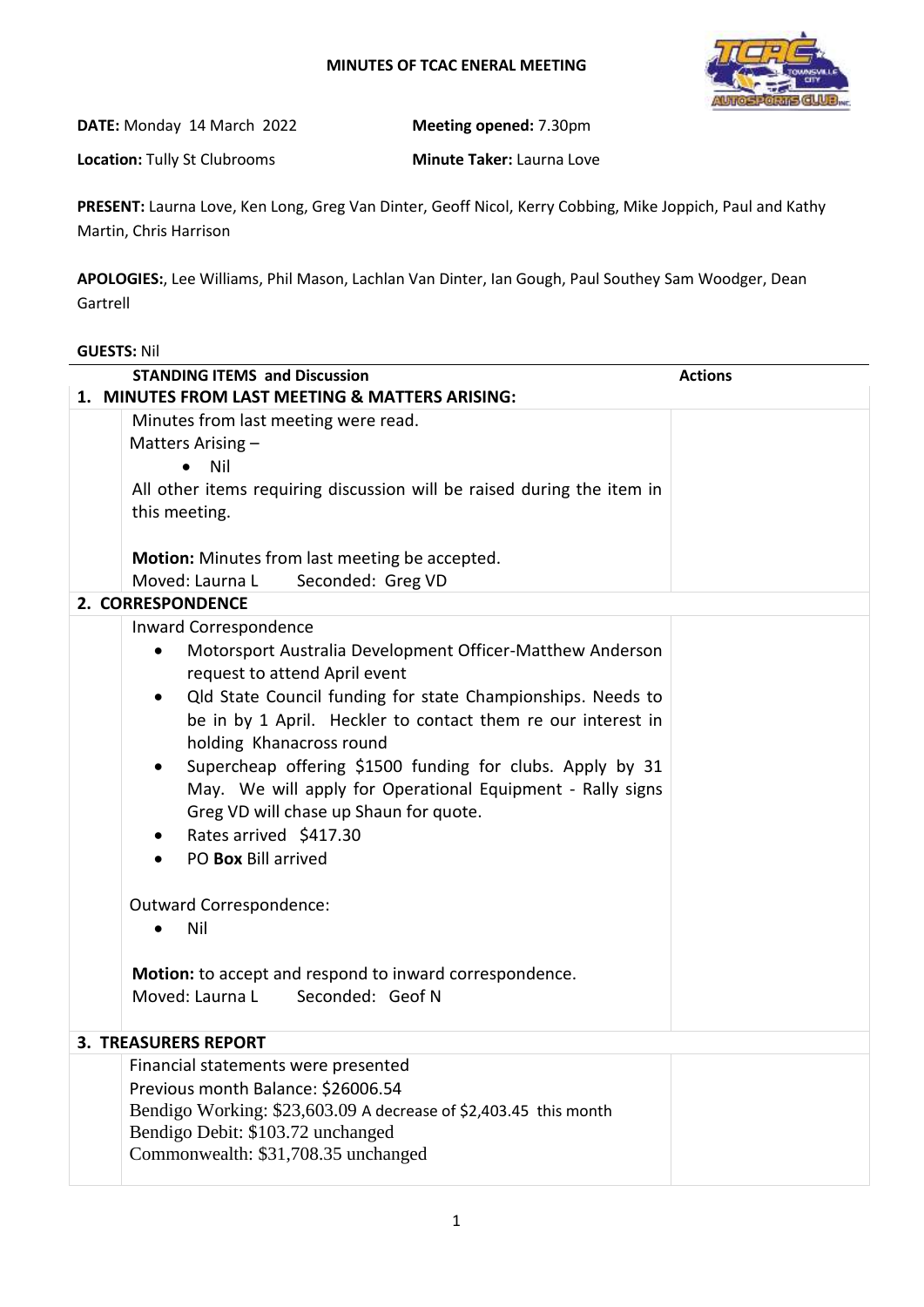## **MINUTES OF TCAC ENERAL MEETING**



**DATE:** Monday 14 March 2022 **Meeting opened:** 7.30pm

**Location:** Tully St Clubrooms **Minute Taker:** Laurna Love

**PRESENT:** Laurna Love, Ken Long, Greg Van Dinter, Geoff Nicol, Kerry Cobbing, Mike Joppich, Paul and Kathy Martin, Chris Harrison

**APOLOGIES:**, Lee Williams, Phil Mason, Lachlan Van Dinter, Ian Gough, Paul Southey Sam Woodger, Dean Gartrell

## **GUESTS:** Nil

| <b>Actions</b><br><b>STANDING ITEMS and Discussion</b> |                                                                          |  |
|--------------------------------------------------------|--------------------------------------------------------------------------|--|
| 1. MINUTES FROM LAST MEETING & MATTERS ARISING:        |                                                                          |  |
|                                                        | Minutes from last meeting were read.                                     |  |
|                                                        | Matters Arising -                                                        |  |
|                                                        | Nil<br>$\bullet$                                                         |  |
|                                                        | All other items requiring discussion will be raised during the item in   |  |
|                                                        | this meeting.                                                            |  |
|                                                        |                                                                          |  |
|                                                        | Motion: Minutes from last meeting be accepted.                           |  |
|                                                        | Moved: Laurna L<br>Seconded: Greg VD                                     |  |
|                                                        | 2. CORRESPONDENCE                                                        |  |
|                                                        | Inward Correspondence                                                    |  |
|                                                        | Motorsport Australia Development Officer-Matthew Anderson<br>$\bullet$   |  |
|                                                        | request to attend April event                                            |  |
|                                                        | Qld State Council funding for state Championships. Needs to<br>$\bullet$ |  |
|                                                        | be in by 1 April. Heckler to contact them re our interest in             |  |
|                                                        | holding Khanacross round                                                 |  |
|                                                        | Supercheap offering \$1500 funding for clubs. Apply by 31                |  |
|                                                        | May. We will apply for Operational Equipment - Rally signs               |  |
|                                                        | Greg VD will chase up Shaun for quote.                                   |  |
|                                                        | Rates arrived \$417.30<br>$\bullet$                                      |  |
|                                                        | PO Box Bill arrived                                                      |  |
|                                                        |                                                                          |  |
|                                                        | Outward Correspondence:                                                  |  |
|                                                        | Nil<br>$\bullet$                                                         |  |
|                                                        |                                                                          |  |
|                                                        | Motion: to accept and respond to inward correspondence.                  |  |
|                                                        | Moved: Laurna L Seconded: Geof N                                         |  |
|                                                        |                                                                          |  |
|                                                        | <b>3. TREASURERS REPORT</b>                                              |  |
|                                                        | Financial statements were presented                                      |  |
|                                                        | Previous month Balance: \$26006.54                                       |  |
|                                                        | Bendigo Working: \$23,603.09 A decrease of \$2,403.45 this month         |  |
|                                                        | Bendigo Debit: \$103.72 unchanged                                        |  |
|                                                        | Commonwealth: \$31,708.35 unchanged                                      |  |
|                                                        |                                                                          |  |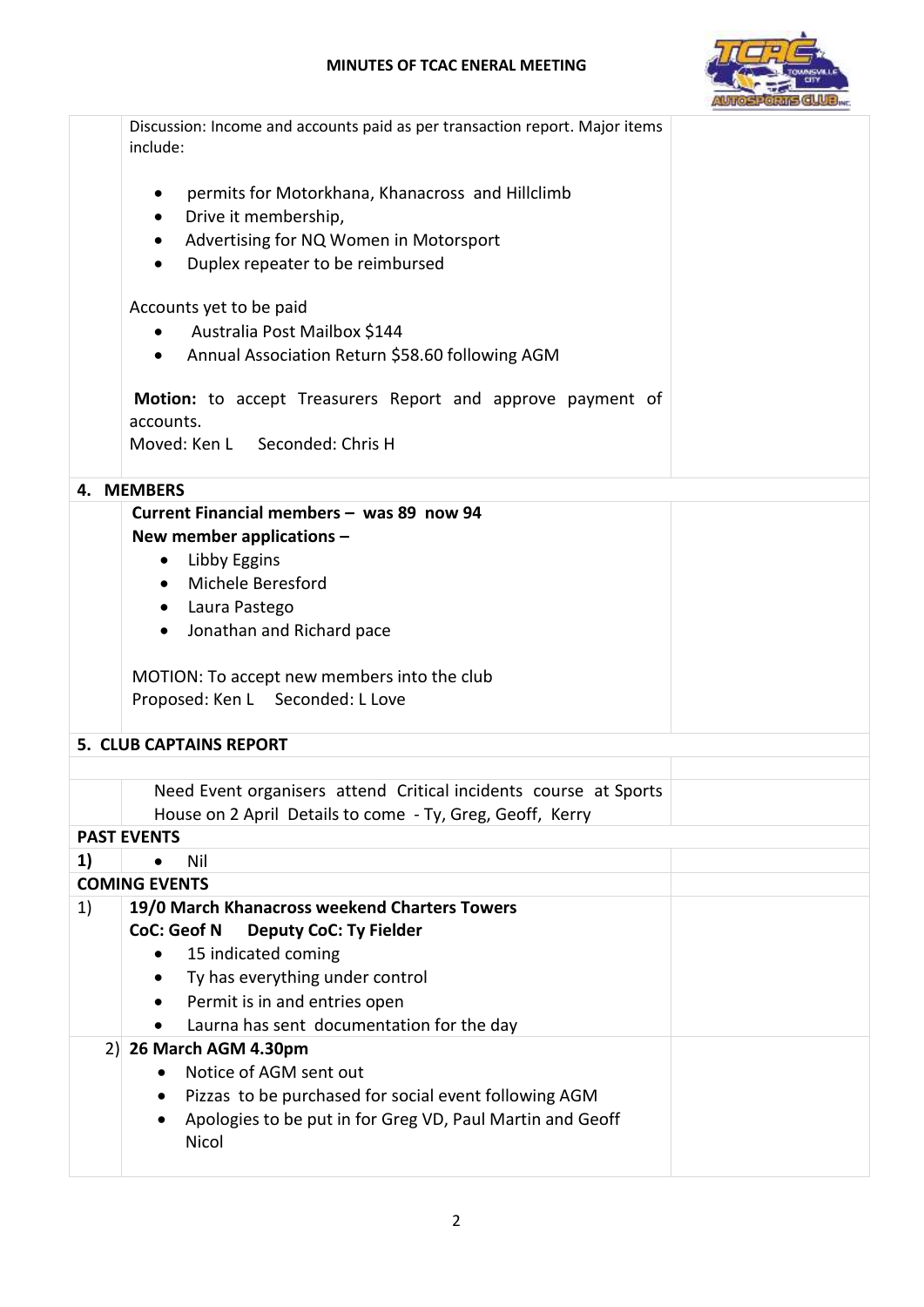## **MINUTES OF TCAC ENERAL MEETING**



|                                | Discussion: Income and accounts paid as per transaction report. Major items<br>include: |  |
|--------------------------------|-----------------------------------------------------------------------------------------|--|
|                                | permits for Motorkhana, Khanacross and Hillclimb<br>$\bullet$                           |  |
|                                | Drive it membership,<br>$\bullet$                                                       |  |
|                                | Advertising for NQ Women in Motorsport<br>$\bullet$                                     |  |
|                                | Duplex repeater to be reimbursed<br>$\bullet$                                           |  |
|                                | Accounts yet to be paid                                                                 |  |
|                                | • Australia Post Mailbox \$144                                                          |  |
|                                | • Annual Association Return \$58.60 following AGM                                       |  |
|                                | Motion: to accept Treasurers Report and approve payment of<br>accounts.                 |  |
|                                | Moved: Ken L Seconded: Chris H                                                          |  |
|                                | 4. MEMBERS                                                                              |  |
|                                | Current Financial members - was 89 now 94                                               |  |
|                                | New member applications -                                                               |  |
|                                | Libby Eggins<br>$\bullet$                                                               |  |
|                                | • Michele Beresford                                                                     |  |
|                                | • Laura Pastego                                                                         |  |
|                                | Jonathan and Richard pace<br>$\bullet$                                                  |  |
|                                |                                                                                         |  |
|                                | MOTION: To accept new members into the club<br>Proposed: Ken L Seconded: L Love         |  |
|                                |                                                                                         |  |
| <b>5. CLUB CAPTAINS REPORT</b> |                                                                                         |  |
|                                | Need Event organisers attend Critical incidents course at Sports                        |  |
|                                | House on 2 April Details to come - Ty, Greg, Geoff, Kerry                               |  |
|                                | <b>PAST EVENTS</b>                                                                      |  |
| 1)                             | Nil                                                                                     |  |
|                                | <b>COMING EVENTS</b>                                                                    |  |
| 1)                             | 19/0 March Khanacross weekend Charters Towers                                           |  |
|                                | <b>CoC: Geof N</b><br><b>Deputy CoC: Ty Fielder</b>                                     |  |
|                                | 15 indicated coming<br>$\bullet$                                                        |  |
|                                | Ty has everything under control<br>$\bullet$                                            |  |
|                                | Permit is in and entries open                                                           |  |
|                                | Laurna has sent documentation for the day                                               |  |
|                                | 2) 26 March AGM 4.30pm                                                                  |  |
|                                | Notice of AGM sent out                                                                  |  |
|                                | Pizzas to be purchased for social event following AGM                                   |  |
|                                | Apologies to be put in for Greg VD, Paul Martin and Geoff<br>٠                          |  |
|                                | Nicol                                                                                   |  |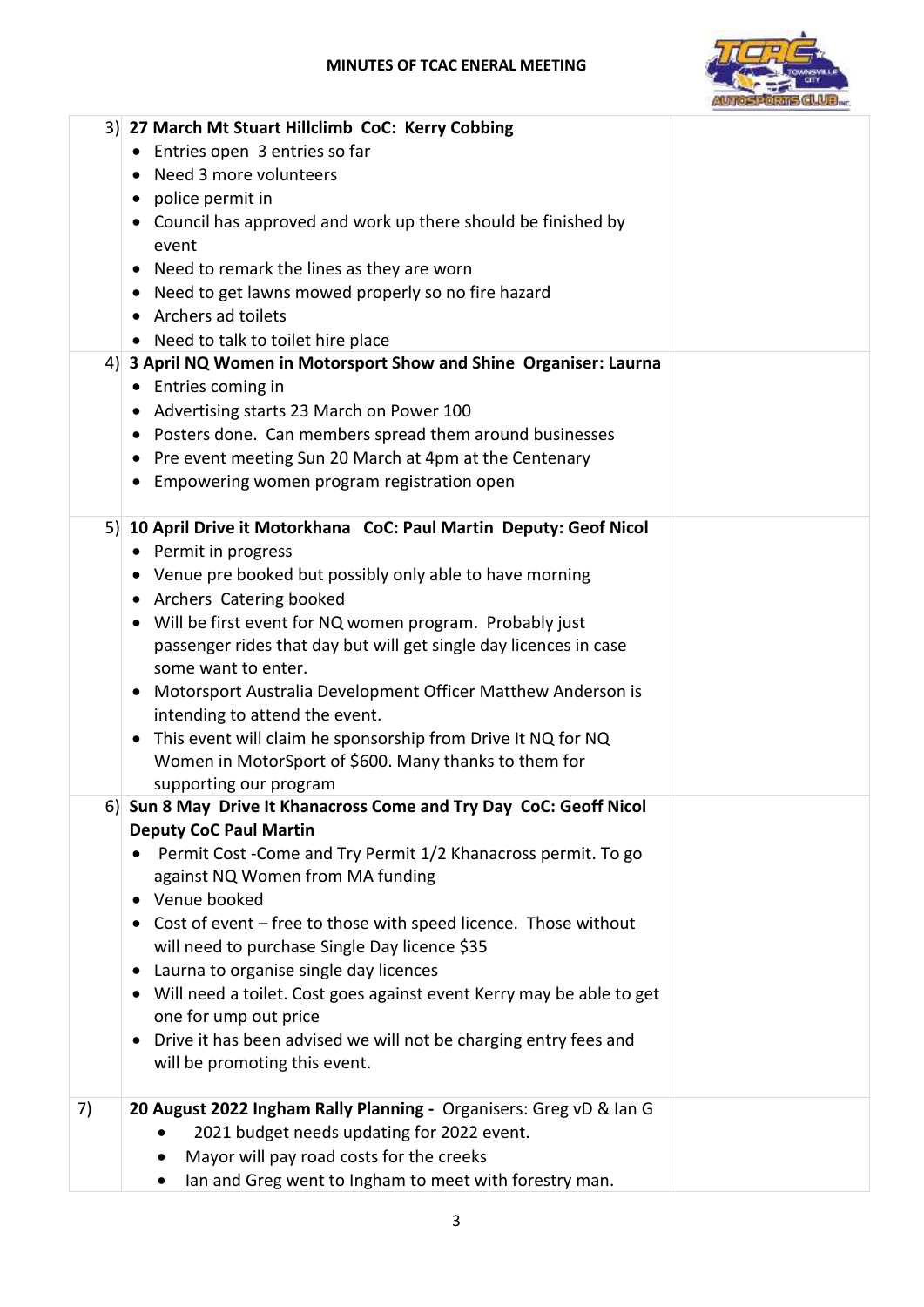## **MINUTES OF TCAC ENERAL MEETING**



|    | 3) 27 March Mt Stuart Hillclimb CoC: Kerry Cobbing                                                                                 |  |
|----|------------------------------------------------------------------------------------------------------------------------------------|--|
|    | • Entries open 3 entries so far                                                                                                    |  |
|    | • Need 3 more volunteers                                                                                                           |  |
|    | • police permit in                                                                                                                 |  |
|    | • Council has approved and work up there should be finished by                                                                     |  |
|    | event                                                                                                                              |  |
|    | Need to remark the lines as they are worn                                                                                          |  |
|    | Need to get lawns mowed properly so no fire hazard                                                                                 |  |
|    | • Archers ad toilets                                                                                                               |  |
|    | • Need to talk to toilet hire place                                                                                                |  |
|    | 4) 3 April NQ Women in Motorsport Show and Shine Organiser: Laurna                                                                 |  |
|    | • Entries coming in                                                                                                                |  |
|    | • Advertising starts 23 March on Power 100                                                                                         |  |
|    | • Posters done. Can members spread them around businesses                                                                          |  |
|    |                                                                                                                                    |  |
|    | Pre event meeting Sun 20 March at 4pm at the Centenary<br>$\bullet$                                                                |  |
|    | • Empowering women program registration open                                                                                       |  |
|    | 5) 10 April Drive it Motorkhana CoC: Paul Martin Deputy: Geof Nicol                                                                |  |
|    | • Permit in progress                                                                                                               |  |
|    | • Venue pre booked but possibly only able to have morning                                                                          |  |
|    | • Archers Catering booked                                                                                                          |  |
|    | • Will be first event for NQ women program. Probably just                                                                          |  |
|    | passenger rides that day but will get single day licences in case                                                                  |  |
|    | some want to enter.                                                                                                                |  |
|    |                                                                                                                                    |  |
|    | • Motorsport Australia Development Officer Matthew Anderson is<br>intending to attend the event.                                   |  |
|    |                                                                                                                                    |  |
|    | This event will claim he sponsorship from Drive It NQ for NQ<br>$\bullet$<br>Women in MotorSport of \$600. Many thanks to them for |  |
|    | supporting our program                                                                                                             |  |
|    | 6) Sun 8 May Drive It Khanacross Come and Try Day CoC: Geoff Nicol                                                                 |  |
|    | <b>Deputy CoC Paul Martin</b>                                                                                                      |  |
|    | • Permit Cost - Come and Try Permit 1/2 Khanacross permit. To go                                                                   |  |
|    | against NQ Women from MA funding                                                                                                   |  |
|    | • Venue booked                                                                                                                     |  |
|    | • Cost of event – free to those with speed licence. Those without                                                                  |  |
|    | will need to purchase Single Day licence \$35                                                                                      |  |
|    | • Laurna to organise single day licences                                                                                           |  |
|    | • Will need a toilet. Cost goes against event Kerry may be able to get                                                             |  |
|    | one for ump out price                                                                                                              |  |
|    | • Drive it has been advised we will not be charging entry fees and                                                                 |  |
|    | will be promoting this event.                                                                                                      |  |
|    |                                                                                                                                    |  |
| 7) | 20 August 2022 Ingham Rally Planning - Organisers: Greg vD & Ian G                                                                 |  |
|    | 2021 budget needs updating for 2022 event.                                                                                         |  |
|    | Mayor will pay road costs for the creeks                                                                                           |  |
|    | Ian and Greg went to Ingham to meet with forestry man.                                                                             |  |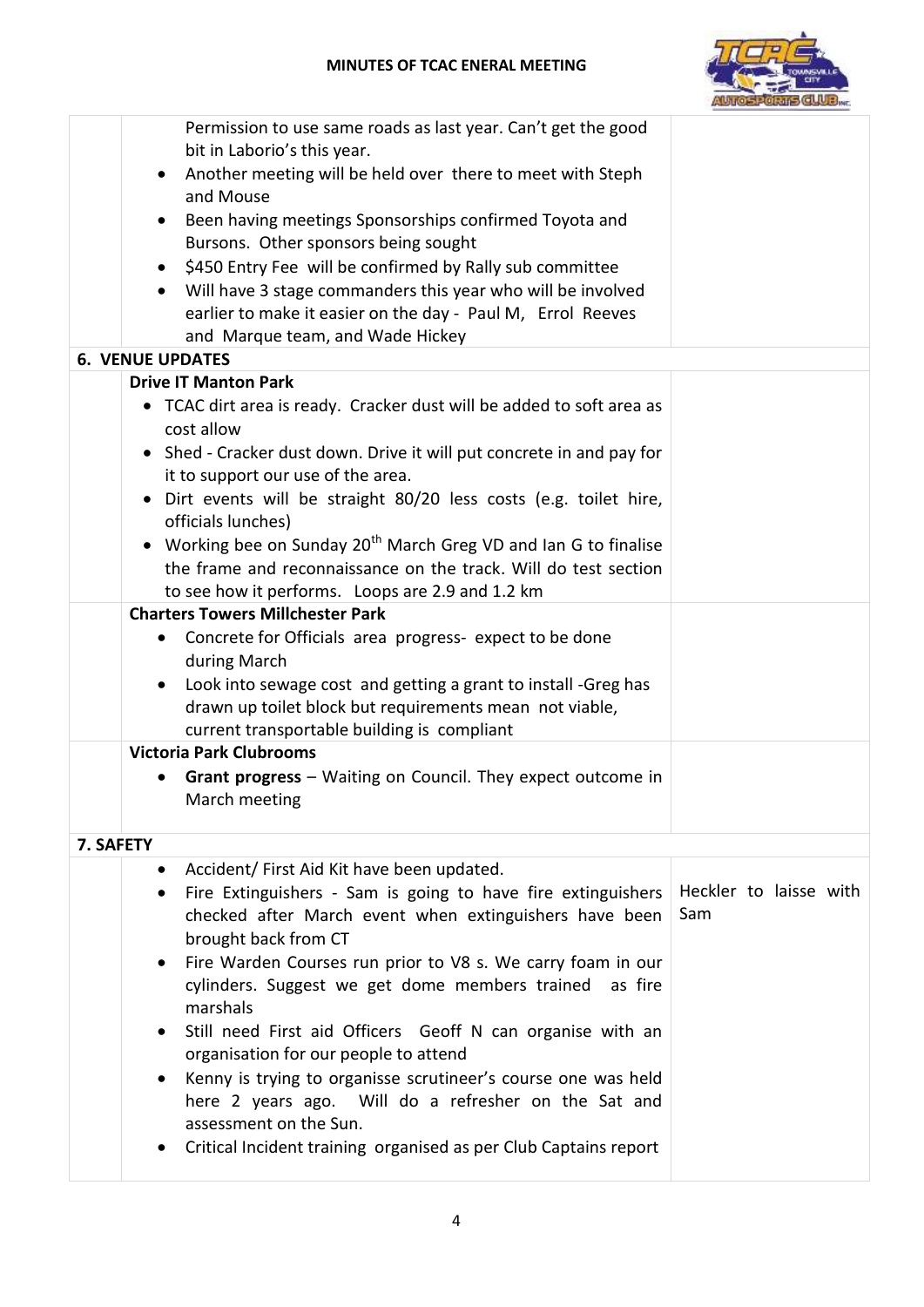

|           | Permission to use same roads as last year. Can't get the good                                               |                        |
|-----------|-------------------------------------------------------------------------------------------------------------|------------------------|
|           | bit in Laborio's this year.                                                                                 |                        |
|           | Another meeting will be held over there to meet with Steph<br>and Mouse                                     |                        |
|           | Been having meetings Sponsorships confirmed Toyota and                                                      |                        |
|           | Bursons. Other sponsors being sought                                                                        |                        |
|           | \$450 Entry Fee will be confirmed by Rally sub committee                                                    |                        |
|           | Will have 3 stage commanders this year who will be involved                                                 |                        |
|           | earlier to make it easier on the day - Paul M, Errol Reeves                                                 |                        |
|           | and Marque team, and Wade Hickey                                                                            |                        |
|           | <b>6. VENUE UPDATES</b>                                                                                     |                        |
|           | <b>Drive IT Manton Park</b>                                                                                 |                        |
|           | • TCAC dirt area is ready. Cracker dust will be added to soft area as<br>cost allow                         |                        |
|           | • Shed - Cracker dust down. Drive it will put concrete in and pay for<br>it to support our use of the area. |                        |
|           | Dirt events will be straight 80/20 less costs (e.g. toilet hire,<br>$\bullet$<br>officials lunches)         |                        |
|           | • Working bee on Sunday 20 <sup>th</sup> March Greg VD and Ian G to finalise                                |                        |
|           | the frame and reconnaissance on the track. Will do test section                                             |                        |
|           | to see how it performs. Loops are 2.9 and 1.2 km                                                            |                        |
|           | <b>Charters Towers Millchester Park</b>                                                                     |                        |
|           | Concrete for Officials area progress- expect to be done<br>$\bullet$                                        |                        |
|           | during March                                                                                                |                        |
|           | Look into sewage cost and getting a grant to install -Greg has                                              |                        |
|           | drawn up toilet block but requirements mean not viable,                                                     |                        |
|           | current transportable building is compliant<br><b>Victoria Park Clubrooms</b>                               |                        |
|           |                                                                                                             |                        |
|           | Grant progress - Waiting on Council. They expect outcome in<br>March meeting                                |                        |
| 7. SAFETY |                                                                                                             |                        |
|           | Accident/ First Aid Kit have been updated.                                                                  |                        |
|           | Fire Extinguishers - Sam is going to have fire extinguishers<br>$\bullet$                                   | Heckler to laisse with |
|           | checked after March event when extinguishers have been                                                      | Sam                    |
|           | brought back from CT                                                                                        |                        |
|           | Fire Warden Courses run prior to V8 s. We carry foam in our                                                 |                        |
|           | cylinders. Suggest we get dome members trained<br>as fire                                                   |                        |
|           | marshals                                                                                                    |                        |
|           | Still need First aid Officers Geoff N can organise with an<br>$\bullet$                                     |                        |
|           | organisation for our people to attend                                                                       |                        |
|           | Kenny is trying to organisse scrutineer's course one was held<br>$\bullet$                                  |                        |
|           | here 2 years ago. Will do a refresher on the Sat and<br>assessment on the Sun.                              |                        |
|           |                                                                                                             |                        |
|           | Critical Incident training organised as per Club Captains report                                            |                        |